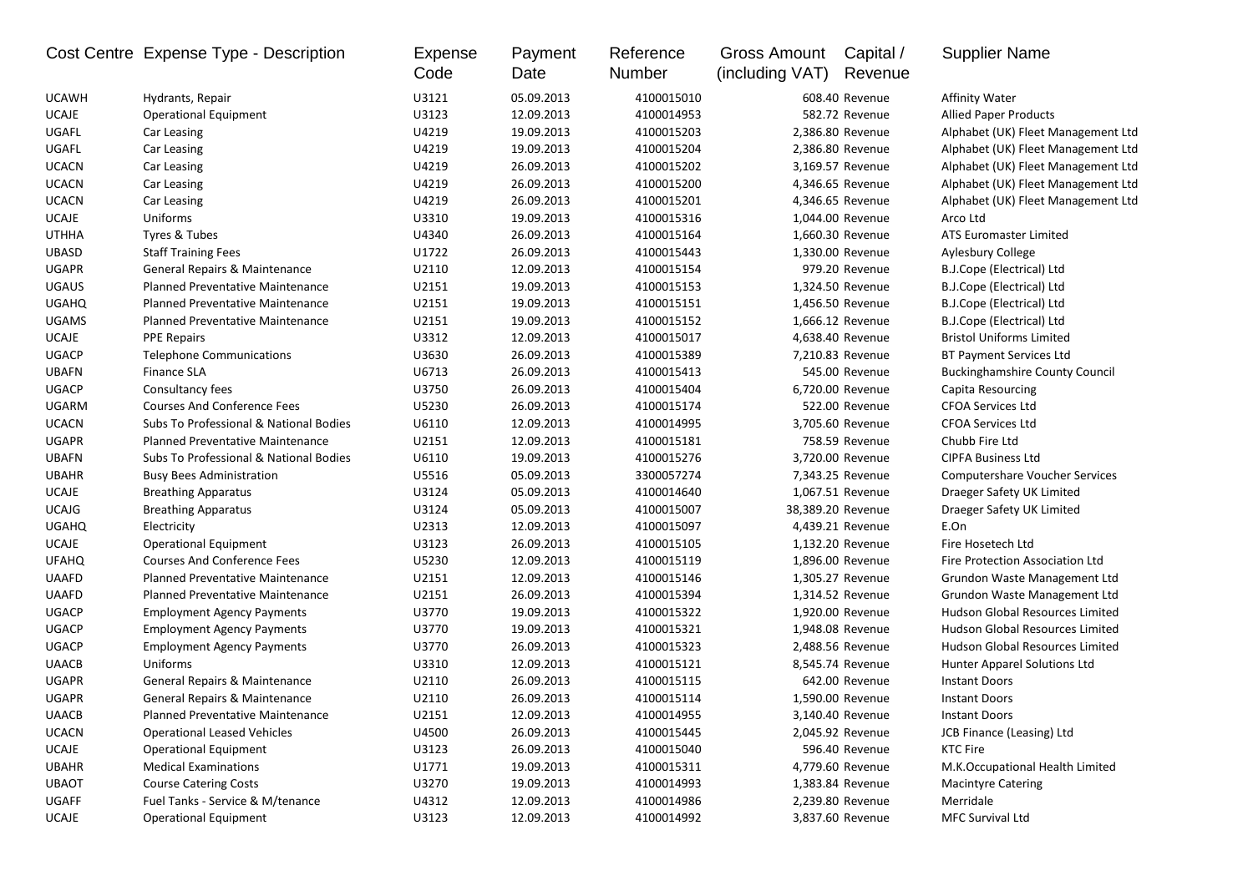|              | Cost Centre Expense Type - Description  | Expense<br>Code | Payment<br>Date | Reference<br>Number | Gross Amount<br>(including VAT) | Capital /<br>Revenue | <b>Supplier Name</b>                   |
|--------------|-----------------------------------------|-----------------|-----------------|---------------------|---------------------------------|----------------------|----------------------------------------|
| <b>UCAWH</b> | Hydrants, Repair                        | U3121           | 05.09.2013      | 4100015010          |                                 | 608.40 Revenue       | <b>Affinity Water</b>                  |
| <b>UCAJE</b> | <b>Operational Equipment</b>            | U3123           | 12.09.2013      | 4100014953          |                                 | 582.72 Revenue       | <b>Allied Paper Products</b>           |
| UGAFL        | Car Leasing                             | U4219           | 19.09.2013      | 4100015203          |                                 | 2,386.80 Revenue     | Alphabet (UK) Fleet Management Ltd     |
| UGAFL        | Car Leasing                             | U4219           | 19.09.2013      | 4100015204          |                                 | 2,386.80 Revenue     | Alphabet (UK) Fleet Management Ltd     |
| <b>UCACN</b> | Car Leasing                             | U4219           | 26.09.2013      | 4100015202          |                                 | 3,169.57 Revenue     | Alphabet (UK) Fleet Management Ltd     |
| <b>UCACN</b> | Car Leasing                             | U4219           | 26.09.2013      | 4100015200          |                                 | 4,346.65 Revenue     | Alphabet (UK) Fleet Management Ltd     |
| <b>UCACN</b> | Car Leasing                             | U4219           | 26.09.2013      | 4100015201          |                                 | 4,346.65 Revenue     | Alphabet (UK) Fleet Management Ltd     |
| <b>UCAJE</b> | Uniforms                                | U3310           | 19.09.2013      | 4100015316          |                                 | 1,044.00 Revenue     | Arco Ltd                               |
| <b>UTHHA</b> | Tyres & Tubes                           | U4340           | 26.09.2013      | 4100015164          |                                 | 1,660.30 Revenue     | ATS Euromaster Limited                 |
| <b>UBASD</b> | <b>Staff Training Fees</b>              | U1722           | 26.09.2013      | 4100015443          |                                 | 1,330.00 Revenue     | Aylesbury College                      |
| <b>UGAPR</b> | General Repairs & Maintenance           | U2110           | 12.09.2013      | 4100015154          |                                 | 979.20 Revenue       | B.J.Cope (Electrical) Ltd              |
| <b>UGAUS</b> | <b>Planned Preventative Maintenance</b> | U2151           | 19.09.2013      | 4100015153          |                                 | 1,324.50 Revenue     | B.J.Cope (Electrical) Ltd              |
| <b>UGAHQ</b> | Planned Preventative Maintenance        | U2151           | 19.09.2013      | 4100015151          |                                 | 1,456.50 Revenue     | B.J.Cope (Electrical) Ltd              |
| <b>UGAMS</b> | <b>Planned Preventative Maintenance</b> | U2151           | 19.09.2013      | 4100015152          |                                 | 1,666.12 Revenue     | B.J.Cope (Electrical) Ltd              |
| <b>UCAJE</b> | <b>PPE Repairs</b>                      | U3312           | 12.09.2013      | 4100015017          |                                 | 4,638.40 Revenue     | <b>Bristol Uniforms Limited</b>        |
| <b>UGACP</b> | <b>Telephone Communications</b>         | U3630           | 26.09.2013      | 4100015389          |                                 | 7,210.83 Revenue     | BT Payment Services Ltd                |
| <b>UBAFN</b> | <b>Finance SLA</b>                      | U6713           | 26.09.2013      | 4100015413          |                                 | 545.00 Revenue       | <b>Buckinghamshire County Council</b>  |
| <b>UGACP</b> | Consultancy fees                        | U3750           | 26.09.2013      | 4100015404          |                                 | 6,720.00 Revenue     | Capita Resourcing                      |
| <b>UGARM</b> | <b>Courses And Conference Fees</b>      | U5230           | 26.09.2013      | 4100015174          |                                 | 522.00 Revenue       | <b>CFOA Services Ltd</b>               |
| <b>UCACN</b> | Subs To Professional & National Bodies  | U6110           | 12.09.2013      | 4100014995          |                                 | 3,705.60 Revenue     | <b>CFOA Services Ltd</b>               |
| <b>UGAPR</b> | <b>Planned Preventative Maintenance</b> | U2151           | 12.09.2013      | 4100015181          |                                 | 758.59 Revenue       | Chubb Fire Ltd                         |
| <b>UBAFN</b> | Subs To Professional & National Bodies  | U6110           | 19.09.2013      | 4100015276          |                                 | 3,720.00 Revenue     | <b>CIPFA Business Ltd</b>              |
| <b>UBAHR</b> | <b>Busy Bees Administration</b>         | U5516           | 05.09.2013      | 3300057274          |                                 | 7,343.25 Revenue     | <b>Computershare Voucher Services</b>  |
| <b>UCAJE</b> | <b>Breathing Apparatus</b>              | U3124           | 05.09.2013      | 4100014640          |                                 | 1,067.51 Revenue     | Draeger Safety UK Limited              |
| <b>UCAJG</b> | <b>Breathing Apparatus</b>              | U3124           | 05.09.2013      | 4100015007          |                                 | 38,389.20 Revenue    | Draeger Safety UK Limited              |
| <b>UGAHQ</b> | Electricity                             | U2313           | 12.09.2013      | 4100015097          |                                 | 4,439.21 Revenue     | E.On                                   |
| <b>UCAJE</b> | <b>Operational Equipment</b>            | U3123           | 26.09.2013      | 4100015105          |                                 | 1,132.20 Revenue     | Fire Hosetech Ltd                      |
| <b>UFAHQ</b> | <b>Courses And Conference Fees</b>      | U5230           | 12.09.2013      | 4100015119          |                                 | 1,896.00 Revenue     | Fire Protection Association Ltd        |
| <b>UAAFD</b> | <b>Planned Preventative Maintenance</b> | U2151           | 12.09.2013      | 4100015146          |                                 | 1,305.27 Revenue     | Grundon Waste Management Ltd           |
| <b>UAAFD</b> | <b>Planned Preventative Maintenance</b> | U2151           | 26.09.2013      | 4100015394          |                                 | 1,314.52 Revenue     | Grundon Waste Management Ltd           |
| <b>UGACP</b> | <b>Employment Agency Payments</b>       | U3770           | 19.09.2013      | 4100015322          |                                 | 1,920.00 Revenue     | Hudson Global Resources Limited        |
| <b>UGACP</b> | <b>Employment Agency Payments</b>       | U3770           | 19.09.2013      | 4100015321          |                                 | 1,948.08 Revenue     | <b>Hudson Global Resources Limited</b> |
| <b>UGACP</b> | <b>Employment Agency Payments</b>       | U3770           | 26.09.2013      | 4100015323          |                                 | 2,488.56 Revenue     | <b>Hudson Global Resources Limited</b> |
| <b>UAACB</b> | Uniforms                                | U3310           | 12.09.2013      | 4100015121          |                                 | 8,545.74 Revenue     | Hunter Apparel Solutions Ltd           |
| <b>UGAPR</b> | General Repairs & Maintenance           | U2110           | 26.09.2013      | 4100015115          |                                 | 642.00 Revenue       | <b>Instant Doors</b>                   |
| <b>UGAPR</b> | General Repairs & Maintenance           | U2110           | 26.09.2013      | 4100015114          |                                 | 1.590.00 Revenue     | <b>Instant Doors</b>                   |
| UAACB        | Planned Preventative Maintenance        | U2151           | 12.09.2013      | 4100014955          |                                 | 3,140.40 Revenue     | <b>Instant Doors</b>                   |
| <b>UCACN</b> | <b>Operational Leased Vehicles</b>      | U4500           | 26.09.2013      | 4100015445          |                                 | 2,045.92 Revenue     | JCB Finance (Leasing) Ltd              |
| UCAJE        | <b>Operational Equipment</b>            | U3123           | 26.09.2013      | 4100015040          |                                 | 596.40 Revenue       | <b>KTC Fire</b>                        |
| <b>UBAHR</b> | <b>Medical Examinations</b>             | U1771           | 19.09.2013      | 4100015311          |                                 | 4,779.60 Revenue     | M.K.Occupational Health Limited        |
| <b>UBAOT</b> | <b>Course Catering Costs</b>            | U3270           | 19.09.2013      | 4100014993          |                                 | 1,383.84 Revenue     | <b>Macintyre Catering</b>              |
| UGAFF        | Fuel Tanks - Service & M/tenance        | U4312           | 12.09.2013      | 4100014986          |                                 | 2,239.80 Revenue     | Merridale                              |
| UCAJE        | <b>Operational Equipment</b>            | U3123           | 12.09.2013      | 4100014992          |                                 | 3,837.60 Revenue     | MFC Survival Ltd                       |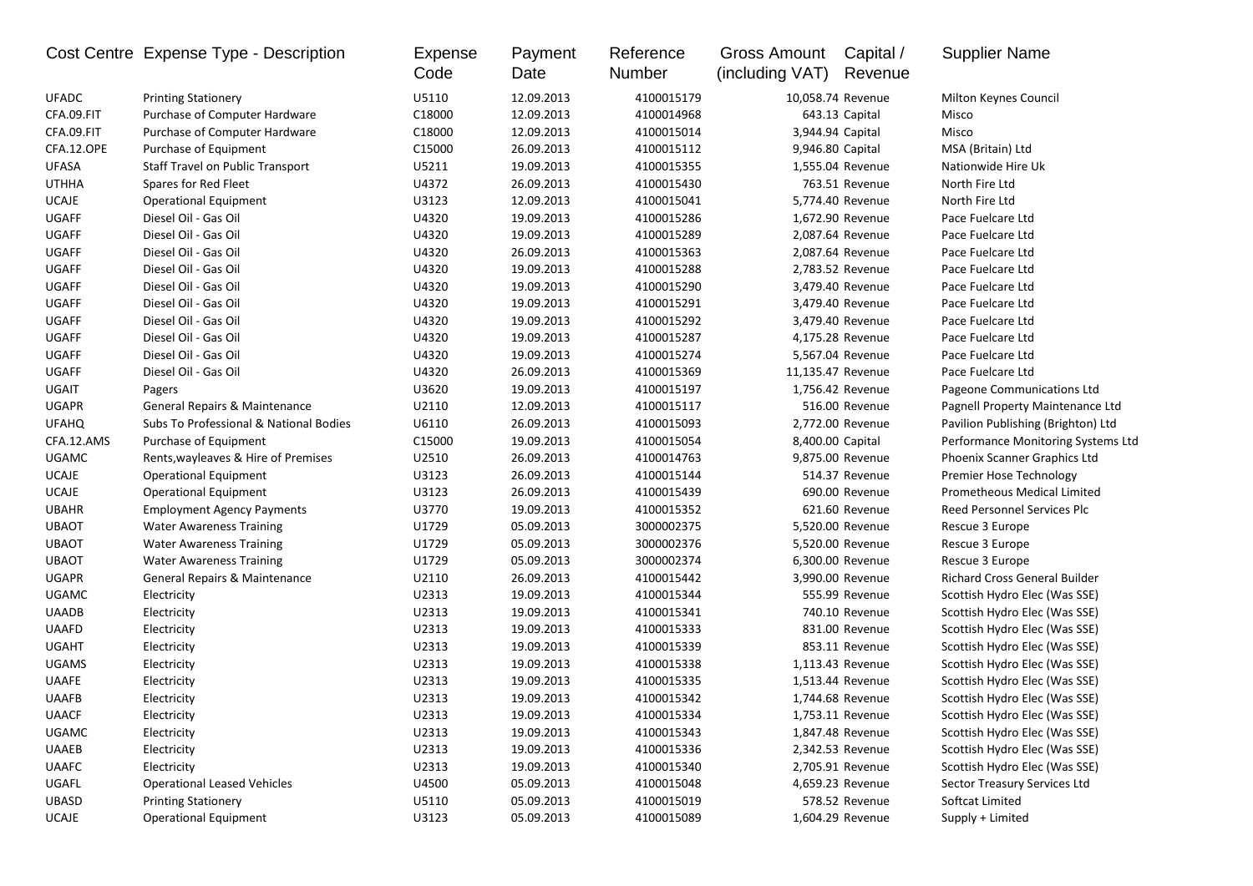|              | Cost Centre Expense Type - Description   | <b>Expense</b><br>Code | Payment<br>Date | Reference<br>Number | <b>Gross Amount</b><br>(including VAT) | Capital /<br>Revenue | <b>Supplier Name</b>               |
|--------------|------------------------------------------|------------------------|-----------------|---------------------|----------------------------------------|----------------------|------------------------------------|
| <b>UFADC</b> | <b>Printing Stationery</b>               | U5110                  | 12.09.2013      | 4100015179          |                                        | 10,058.74 Revenue    | Milton Keynes Council              |
| CFA.09.FIT   | Purchase of Computer Hardware            | C18000                 | 12.09.2013      | 4100014968          |                                        | 643.13 Capital       | Misco                              |
| CFA.09.FIT   | Purchase of Computer Hardware            | C18000                 | 12.09.2013      | 4100015014          |                                        | 3,944.94 Capital     | Misco                              |
| CFA.12.OPE   | Purchase of Equipment                    | C15000                 | 26.09.2013      | 4100015112          |                                        | 9,946.80 Capital     | MSA (Britain) Ltd                  |
| <b>UFASA</b> | Staff Travel on Public Transport         | U5211                  | 19.09.2013      | 4100015355          |                                        | 1,555.04 Revenue     | Nationwide Hire Uk                 |
| <b>UTHHA</b> | Spares for Red Fleet                     | U4372                  | 26.09.2013      | 4100015430          |                                        | 763.51 Revenue       | North Fire Ltd                     |
| <b>UCAJE</b> | Operational Equipment                    | U3123                  | 12.09.2013      | 4100015041          |                                        | 5,774.40 Revenue     | North Fire Ltd                     |
| <b>UGAFF</b> | Diesel Oil - Gas Oil                     | U4320                  | 19.09.2013      | 4100015286          |                                        | 1,672.90 Revenue     | Pace Fuelcare Ltd                  |
| <b>UGAFF</b> | Diesel Oil - Gas Oil                     | U4320                  | 19.09.2013      | 4100015289          |                                        | 2,087.64 Revenue     | Pace Fuelcare Ltd                  |
| <b>UGAFF</b> | Diesel Oil - Gas Oil                     | U4320                  | 26.09.2013      | 4100015363          |                                        | 2,087.64 Revenue     | Pace Fuelcare Ltd                  |
| <b>UGAFF</b> | Diesel Oil - Gas Oil                     | U4320                  | 19.09.2013      | 4100015288          |                                        | 2,783.52 Revenue     | Pace Fuelcare Ltd                  |
| <b>UGAFF</b> | Diesel Oil - Gas Oil                     | U4320                  | 19.09.2013      | 4100015290          |                                        | 3,479.40 Revenue     | Pace Fuelcare Ltd                  |
| <b>UGAFF</b> | Diesel Oil - Gas Oil                     | U4320                  | 19.09.2013      | 4100015291          |                                        | 3,479.40 Revenue     | Pace Fuelcare Ltd                  |
| <b>UGAFF</b> | Diesel Oil - Gas Oil                     | U4320                  | 19.09.2013      | 4100015292          |                                        | 3,479.40 Revenue     | Pace Fuelcare Ltd                  |
| <b>UGAFF</b> | Diesel Oil - Gas Oil                     | U4320                  | 19.09.2013      | 4100015287          |                                        | 4,175.28 Revenue     | Pace Fuelcare Ltd                  |
| UGAFF        | Diesel Oil - Gas Oil                     | U4320                  | 19.09.2013      | 4100015274          |                                        | 5,567.04 Revenue     | Pace Fuelcare Ltd                  |
| <b>UGAFF</b> | Diesel Oil - Gas Oil                     | U4320                  | 26.09.2013      | 4100015369          |                                        | 11,135.47 Revenue    | Pace Fuelcare Ltd                  |
| UGAIT        | Pagers                                   | U3620                  | 19.09.2013      | 4100015197          |                                        | 1,756.42 Revenue     | Pageone Communications Ltd         |
| <b>UGAPR</b> | General Repairs & Maintenance            | U2110                  | 12.09.2013      | 4100015117          |                                        | 516.00 Revenue       | Pagnell Property Maintenance Ltd   |
| <b>UFAHQ</b> | Subs To Professional & National Bodies   | U6110                  | 26.09.2013      | 4100015093          |                                        | 2,772.00 Revenue     | Pavilion Publishing (Brighton) Ltd |
| CFA.12.AMS   | Purchase of Equipment                    | C15000                 | 19.09.2013      | 4100015054          |                                        | 8,400.00 Capital     | Performance Monitoring Systems Ltd |
| <b>UGAMC</b> | Rents, wayleaves & Hire of Premises      | U2510                  | 26.09.2013      | 4100014763          |                                        | 9,875.00 Revenue     | Phoenix Scanner Graphics Ltd       |
| <b>UCAJE</b> | <b>Operational Equipment</b>             | U3123                  | 26.09.2013      | 4100015144          |                                        | 514.37 Revenue       | Premier Hose Technology            |
| <b>UCAJE</b> | <b>Operational Equipment</b>             | U3123                  | 26.09.2013      | 4100015439          |                                        | 690.00 Revenue       | Prometheous Medical Limited        |
| <b>UBAHR</b> | <b>Employment Agency Payments</b>        | U3770                  | 19.09.2013      | 4100015352          |                                        | 621.60 Revenue       | Reed Personnel Services Plc        |
| <b>UBAOT</b> | <b>Water Awareness Training</b>          | U1729                  | 05.09.2013      | 3000002375          |                                        | 5,520.00 Revenue     | Rescue 3 Europe                    |
| <b>UBAOT</b> | <b>Water Awareness Training</b>          | U1729                  | 05.09.2013      | 3000002376          |                                        | 5,520.00 Revenue     | Rescue 3 Europe                    |
| <b>UBAOT</b> | <b>Water Awareness Training</b>          | U1729                  | 05.09.2013      | 3000002374          |                                        | 6,300.00 Revenue     | Rescue 3 Europe                    |
| <b>UGAPR</b> | <b>General Repairs &amp; Maintenance</b> | U2110                  | 26.09.2013      | 4100015442          |                                        | 3,990.00 Revenue     | Richard Cross General Builder      |
| <b>UGAMC</b> | Electricity                              | U2313                  | 19.09.2013      | 4100015344          |                                        | 555.99 Revenue       | Scottish Hydro Elec (Was SSE)      |
| UAADB        | Electricity                              | U2313                  | 19.09.2013      | 4100015341          |                                        | 740.10 Revenue       | Scottish Hydro Elec (Was SSE)      |
| <b>UAAFD</b> | Electricity                              | U2313                  | 19.09.2013      | 4100015333          |                                        | 831.00 Revenue       | Scottish Hydro Elec (Was SSE)      |
| <b>UGAHT</b> | Electricity                              | U2313                  | 19.09.2013      | 4100015339          |                                        | 853.11 Revenue       | Scottish Hydro Elec (Was SSE)      |
| <b>UGAMS</b> | Electricity                              | U2313                  | 19.09.2013      | 4100015338          |                                        | 1,113.43 Revenue     | Scottish Hydro Elec (Was SSE)      |
| <b>UAAFE</b> | Electricity                              | U2313                  | 19.09.2013      | 4100015335          |                                        | 1,513.44 Revenue     | Scottish Hydro Elec (Was SSE)      |
| <b>UAAFB</b> | Electricity                              | U2313                  | 19.09.2013      | 4100015342          |                                        | 1,744.68 Revenue     | Scottish Hydro Elec (Was SSE)      |
| <b>UAACF</b> | Electricity                              | U2313                  | 19.09.2013      | 4100015334          |                                        | 1,753.11 Revenue     | Scottish Hydro Elec (Was SSE)      |
| <b>UGAMC</b> | Electricity                              | U2313                  | 19.09.2013      | 4100015343          |                                        | 1,847.48 Revenue     | Scottish Hydro Elec (Was SSE)      |
| UAAEB        | Electricity                              | U2313                  | 19.09.2013      | 4100015336          |                                        | 2,342.53 Revenue     | Scottish Hydro Elec (Was SSE)      |
| <b>UAAFC</b> | Electricity                              | U2313                  | 19.09.2013      | 4100015340          |                                        | 2,705.91 Revenue     | Scottish Hydro Elec (Was SSE)      |
| UGAFL        | <b>Operational Leased Vehicles</b>       | U4500                  | 05.09.2013      | 4100015048          |                                        | 4,659.23 Revenue     | Sector Treasury Services Ltd       |
| <b>UBASD</b> | <b>Printing Stationery</b>               | U5110                  | 05.09.2013      | 4100015019          |                                        | 578.52 Revenue       | Softcat Limited                    |
| UCAJE        | <b>Operational Equipment</b>             | U3123                  | 05.09.2013      | 4100015089          |                                        | 1,604.29 Revenue     | Supply + Limited                   |
|              |                                          |                        |                 |                     |                                        |                      |                                    |